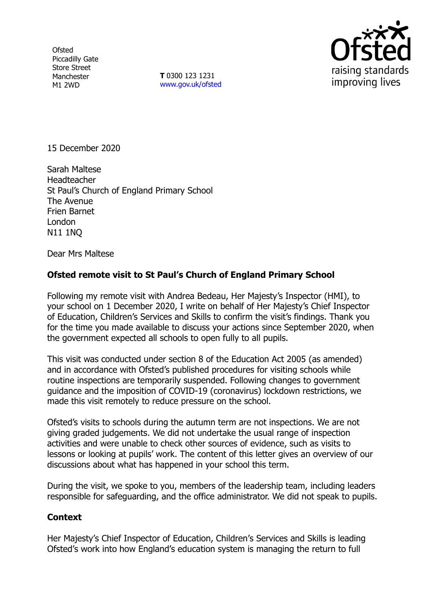**Ofsted** Piccadilly Gate Store Street Manchester M1 2WD

**T** 0300 123 1231 [www.gov.uk/ofsted](http://www.gov.uk/ofsted)



15 December 2020

Sarah Maltese **Headteacher** St Paul's Church of England Primary School The Avenue Frien Barnet London N11 1NQ

Dear Mrs Maltese

## **Ofsted remote visit to St Paul's Church of England Primary School**

Following my remote visit with Andrea Bedeau, Her Majesty's Inspector (HMI), to your school on 1 December 2020, I write on behalf of Her Majesty's Chief Inspector of Education, Children's Services and Skills to confirm the visit's findings. Thank you for the time you made available to discuss your actions since September 2020, when the government expected all schools to open fully to all pupils.

This visit was conducted under section 8 of the Education Act 2005 (as amended) and in accordance with Ofsted's published procedures for visiting schools while routine inspections are temporarily suspended. Following changes to government guidance and the imposition of COVID-19 (coronavirus) lockdown restrictions, we made this visit remotely to reduce pressure on the school.

Ofsted's visits to schools during the autumn term are not inspections. We are not giving graded judgements. We did not undertake the usual range of inspection activities and were unable to check other sources of evidence, such as visits to lessons or looking at pupils' work. The content of this letter gives an overview of our discussions about what has happened in your school this term.

During the visit, we spoke to you, members of the leadership team, including leaders responsible for safeguarding, and the office administrator. We did not speak to pupils.

## **Context**

Her Majesty's Chief Inspector of Education, Children's Services and Skills is leading Ofsted's work into how England's education system is managing the return to full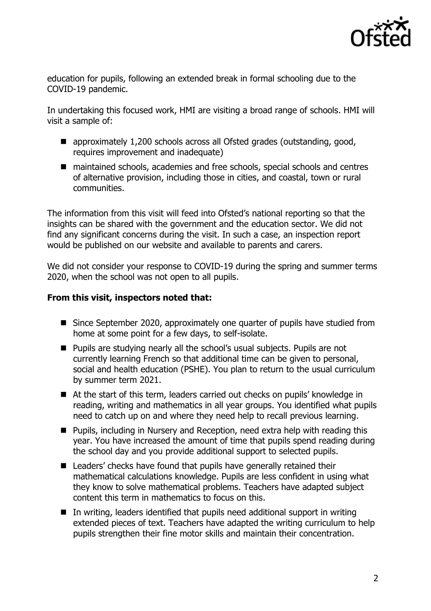

education for pupils, following an extended break in formal schooling due to the COVID-19 pandemic.

In undertaking this focused work, HMI are visiting a broad range of schools. HMI will visit a sample of:

- approximately 1,200 schools across all Ofsted grades (outstanding, good, requires improvement and inadequate)
- maintained schools, academies and free schools, special schools and centres of alternative provision, including those in cities, and coastal, town or rural communities.

The information from this visit will feed into Ofsted's national reporting so that the insights can be shared with the government and the education sector. We did not find any significant concerns during the visit. In such a case, an inspection report would be published on our website and available to parents and carers.

We did not consider your response to COVID-19 during the spring and summer terms 2020, when the school was not open to all pupils.

## **From this visit, inspectors noted that:**

- Since September 2020, approximately one quarter of pupils have studied from home at some point for a few days, to self-isolate.
- **Pupils are studying nearly all the school's usual subjects. Pupils are not** currently learning French so that additional time can be given to personal, social and health education (PSHE). You plan to return to the usual curriculum by summer term 2021.
- At the start of this term, leaders carried out checks on pupils' knowledge in reading, writing and mathematics in all year groups. You identified what pupils need to catch up on and where they need help to recall previous learning.
- Pupils, including in Nursery and Reception, need extra help with reading this year. You have increased the amount of time that pupils spend reading during the school day and you provide additional support to selected pupils.
- Leaders' checks have found that pupils have generally retained their mathematical calculations knowledge. Pupils are less confident in using what they know to solve mathematical problems. Teachers have adapted subject content this term in mathematics to focus on this.
- In writing, leaders identified that pupils need additional support in writing extended pieces of text. Teachers have adapted the writing curriculum to help pupils strengthen their fine motor skills and maintain their concentration.